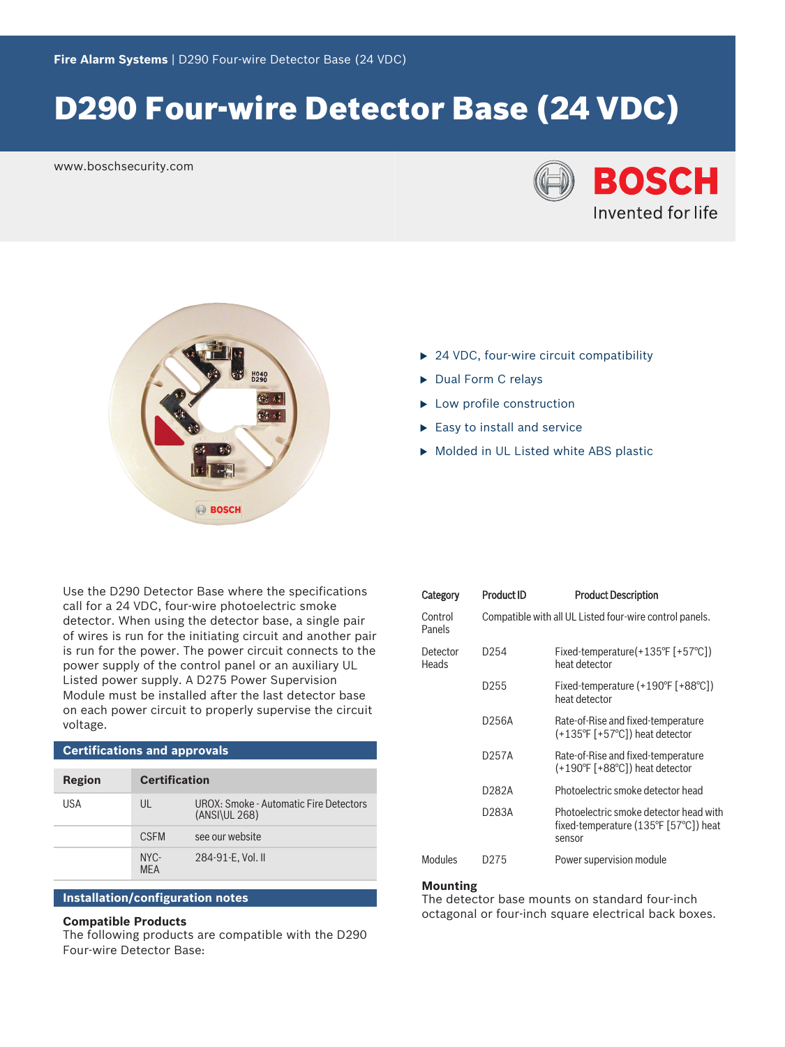# D290 Four‑wire Detector Base (24 VDC)

www.boschsecurity.com





- $\triangleright$  24 VDC, four-wire circuit compatibility
- Dual Form C relays
- $\blacktriangleright$  Low profile construction
- $\blacktriangleright$  Easy to install and service
- Molded in UL Listed white ABS plastic

Use the D290 Detector Base where the specifications call for a 24 VDC, four-wire photoelectric smoke detector. When using the detector base, a single pair of wires is run for the initiating circuit and another pair is run for the power. The power circuit connects to the power supply of the control panel or an auxiliary UL Listed power supply. A D275 Power Supervision Module must be installed after the last detector base on each power circuit to properly supervise the circuit voltage.

| <b>Certifications and approvals</b> |                      |                                                         |  |  |
|-------------------------------------|----------------------|---------------------------------------------------------|--|--|
| Region                              | <b>Certification</b> |                                                         |  |  |
| USA                                 | $U\parallel$         | UROX: Smoke - Automatic Fire Detectors<br>(ANSIVUL 268) |  |  |
|                                     | <b>CSEM</b>          | see our website                                         |  |  |
|                                     | NYC-<br><b>MFA</b>   | 284-91-E. Vol. II                                       |  |  |

# **Installation/configuration notes**

# **Compatible Products**

The following products are compatible with the D290 Four‑wire Detector Base:

| Category          | Product ID | <b>Product Description</b>                                                                                |  |
|-------------------|------------|-----------------------------------------------------------------------------------------------------------|--|
| Control<br>Panels |            | Compatible with all UL Listed four-wire control panels.                                                   |  |
| Detector<br>Heads | D254       | Fixed-temperature $(+135^{\circ}$ F [+57 $^{\circ}$ C])<br>heat detector                                  |  |
|                   | D255       | Fixed-temperature $(+190^{\circ}$ F $[+88^{\circ}$ C])<br>heat detector                                   |  |
|                   | D256A      | Rate-of-Rise and fixed-temperature<br>(+135°F [+57°C]) heat detector                                      |  |
|                   | D257A      | Rate-of-Rise and fixed-temperature<br>(+190°F [+88°C]) heat detector                                      |  |
|                   | D282A      | Photoelectric smoke detector head                                                                         |  |
|                   | D283A      | Photoelectric smoke detector head with<br>fixed-temperature $(135^{\circ}F [57^{\circ}C])$ heat<br>sensor |  |
| Modules           | D275       | Power supervision module                                                                                  |  |

#### **Mounting**

The detector base mounts on standard four-inch octagonal or four‑inch square electrical back boxes.